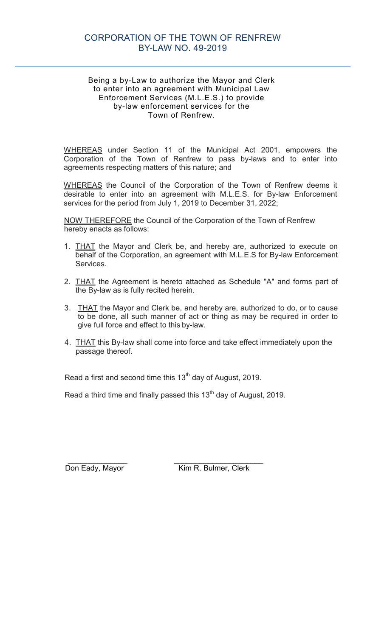## CORPORATION OF THE TOWN OF RENFREW BY-LAW NO. 49-2019

#### Being a by-Law to authorize the Mayor and Clerk to enter into an agreement with Municipal Law Enforcement Services (M.L.E.S.) to provide by-law enforcement services for the Town of Renfrew.

WHEREAS under Section 11 of the Municipal Act 2001, empowers the Corporation of the Town of Renfrew to pass by-laws and to enter into agreements respecting matters of this nature; and

WHEREAS the Council of the Corporation of the Town of Renfrew deems it desirable to enter into an agreement with M.L.E.S. for By-law Enforcement services for the period from July 1, 2019 to December 31, 2022;

NOW THEREFORE the Council of the Corporation of the Town of Renfrew hereby enacts as follows:

- 1. THAT the Mayor and Clerk be, and hereby are, authorized to execute on behalf of the Corporation, an agreement with M.L.E.S for By-law Enforcement Services.
- 2. THAT the Agreement is hereto attached as Schedule "A" and forms part of the By-law as is fully recited herein.
- 3. THAT the Mayor and Clerk be, and hereby are, authorized to do, or to cause to be done, all such manner of act or thing as may be required in order to give full force and effect to this by-law.
- 4. THAT this By-law shall come into force and take effect immediately upon the passage thereof.

Read a first and second time this  $13<sup>th</sup>$  day of August, 2019.

Read a third time and finally passed this  $13<sup>th</sup>$  day of August, 2019.

 $\overline{\phantom{a}}$  ,  $\overline{\phantom{a}}$  ,  $\overline{\phantom{a}}$  ,  $\overline{\phantom{a}}$  ,  $\overline{\phantom{a}}$  ,  $\overline{\phantom{a}}$  ,  $\overline{\phantom{a}}$  ,  $\overline{\phantom{a}}$  ,  $\overline{\phantom{a}}$  ,  $\overline{\phantom{a}}$  ,  $\overline{\phantom{a}}$  ,  $\overline{\phantom{a}}$  ,  $\overline{\phantom{a}}$  ,  $\overline{\phantom{a}}$  ,  $\overline{\phantom{a}}$  ,  $\overline{\phantom{a}}$ Don Eady, Mayor Kim R. Bulmer, Clerk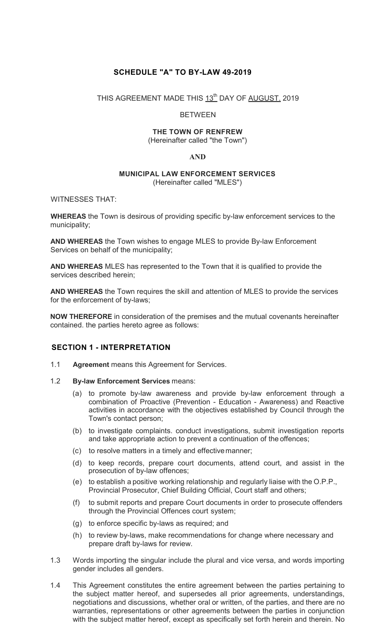## **SCHEDULE "A" TO BY-LAW 49-2019**

THIS AGREEMENT MADE THIS 13<sup>th</sup> DAY OF AUGUST. 2019

#### BETWEEN

# **THE TOWN OF RENFREW**

(Hereinafter called "the Town")

#### **AND**

#### **MUNICIPAL LAW ENFORCEMENT SERVICES** (Hereinafter called "MLES")

WITNESSES THAT:

**WHEREAS** the Town is desirous of providing specific by-law enforcement services to the municipality;

**AND WHEREAS** the Town wishes to engage MLES to provide By-law Enforcement Services on behalf of the municipality;

**AND WHEREAS** MLES has represented to the Town that it is qualified to provide the services described herein;

**AND WHEREAS** the Town requires the skill and attention of MLES to provide the services for the enforcement of by-laws;

**NOW THEREFORE** in consideration of the premises and the mutual covenants hereinafter contained. the parties hereto agree as follows:

#### **SECTION 1 - INTERPRETATION**

- 1.1 **Agreement** means this Agreement for Services.
- 1.2 **By-law Enforcement Services** means:
	- (a) to promote by-law awareness and provide by-law enforcement through a combination of Proactive (Prevention - Education - Awareness) and Reactive activities in accordance with the objectives established by Council through the Town's contact person;
	- (b) to investigate complaints. conduct investigations, submit investigation reports and take appropriate action to prevent a continuation of the offences;
	- (c) to resolve matters in a timely and effective manner;
	- (d) to keep records, prepare court documents, attend court, and assist in the prosecution of by-law offences;
	- (e) to establish a positive working relationship and regularly liaise with the O.P.P., Provincial Prosecutor, Chief Building Official, Court staff and others;
	- (f) to submit reports and prepare Court documents in order to prosecute offenders through the Provincial Offences court system;
	- (g) to enforce specific by-laws as required; and
	- (h) to review by-laws, make recommendations for change where necessary and prepare draft by-laws for review.
- 1.3 Words importing the singular include the plural and vice versa, and words importing gender includes all genders.
- 1.4 This Agreement constitutes the entire agreement between the parties pertaining to the subject matter hereof, and supersedes all prior agreements, understandings, negotiations and discussions, whether oral or written, of the parties, and there are no warranties, representations or other agreements between the parties in conjunction with the subject matter hereof, except as specifically set forth herein and therein. No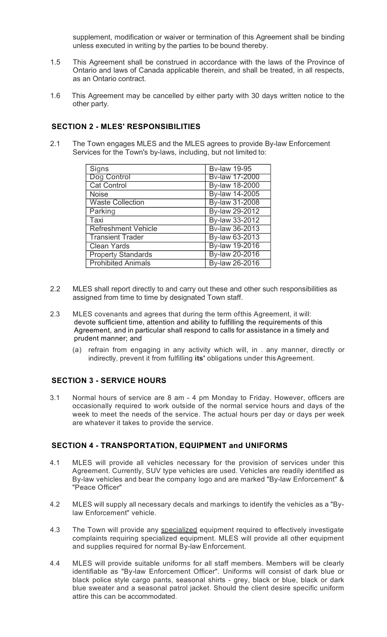supplement, modification or waiver or termination of this Agreement shall be binding unless executed in writing by the parties to be bound thereby.

- 1.5 This Agreement shall be construed in accordance with the laws of the Province of Ontario and laws of Canada applicable therein, and shall be treated, in all respects, as an Ontario contract.
- 1.6 This Agreement may be cancelled by either party with 30 days written notice to the other party.

## **SECTION 2 - MLES' RESPONSIBILITIES**

2.1 The Town engages MLES and the MLES agrees to provide By-law Enforcement Services for the Town's by-laws, including, but not limited to:

| Signs                      | <b>Bv-law 19-95</b> |
|----------------------------|---------------------|
| Dog Control                | Bv-law 17-2000      |
| <b>Cat Control</b>         | By-law 18-2000      |
| <b>Noise</b>               | By-law 14-2005      |
| <b>Waste Collection</b>    | By-law 31-2008      |
| Parking                    | By-law 29-2012      |
| Taxi                       | By-law 33-2012      |
| <b>Refreshment Vehicle</b> | Bv-law 36-2013      |
| <b>Transient Trader</b>    | By-law 63-2013      |
| <b>Clean Yards</b>         | By-law 19-2016      |
| <b>Property Standards</b>  | By-law 20-2016      |
| <b>Prohibited Animals</b>  | By-law 26-2016      |

- 2.2 MLES shall report directly to and carry out these and other such responsibilities as assigned from time to time by designated Town staff.
- 2.3 MLES covenants and agrees that during the term of this Agreement, it will: devote sufficient time, attention and ability to fulfilling the requirements of this Agreement, and in particular shall respond to calls for assistance in a timely and prudent manner; and
	- (a) refrain from engaging in any activity which will, in . any manner, directly or indirectly, prevent it from fulfilling **its'** obligations under this Agreement.

## **SECTION 3 - SERVICE HOURS**

3.1 Normal hours of service are 8 am - 4 pm Monday to Friday. However, officers are occasionally required to work outside of the normal service hours and days of the week to meet the needs of the service. The actual hours per day or days per week are whatever it takes to provide the service.

## **SECTION 4 - TRANSPORTATION, EQUIPMENT and UNIFORMS**

- 4.1 MLES will provide all vehicles necessary for the provision of services under this Agreement. Currently, SUV type vehicles are used. Vehicles are readily identified as By-law vehicles and bear the company logo and are marked "By-law Enforcement" & "Peace Officer"
- 4.2 MLES will supply all necessary decals and markings to identify the vehicles as a "Bylaw Enforcement" vehicle.
- 4.3 The Town will provide any specialized equipment required to effectively investigate complaints requiring specialized equipment. MLES will provide all other equipment and supplies required for normal By-law Enforcement.
- 4.4 MLES will provide suitable uniforms for all staff members. Members will be clearly identifiable as "By-law Enforcement Officer". Uniforms will consist of dark blue or black police style cargo pants, seasonal shirts - grey, black or blue, black or dark blue sweater and a seasonal patrol jacket. Should the client desire specific uniform attire this can be accommodated.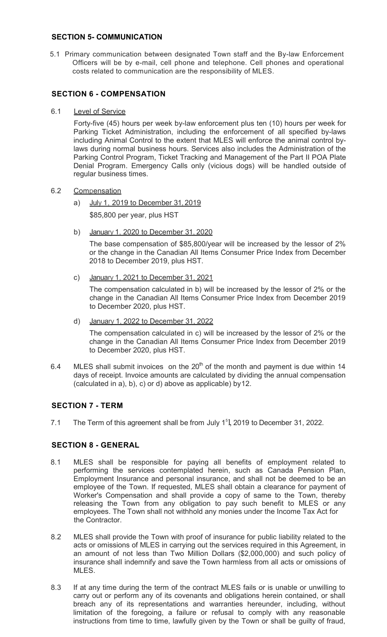#### **SECTION 5- COMMUNICATION**

5.1 Primary communication between designated Town staff and the By-law Enforcement Officers will be by e-mail, cell phone and telephone. Cell phones and operational costs related to communication are the responsibility of MLES.

## **SECTION 6 - COMPENSATION**

6.1 Level of Service

Forty-five (45) hours per week by-law enforcement plus ten (10) hours per week for Parking Ticket Administration, including the enforcement of all specified by-laws including Animal Control to the extent that MLES will enforce the animal control bylaws during normal business hours. Services also includes the Administration of the Parking Control Program, Ticket Tracking and Management of the Part II POA Plate Denial Program. Emergency Calls only (vicious dogs) will be handled outside of regular business times.

#### 6.2 Compensation

- a) July 1, 2019 to December 31, 2019 \$85,800 per year, plus HST
- b) January 1, 2020 to December 31, 2020

The base compensation of \$85,800/year will be increased by the lessor of 2% or the change in the Canadian All Items Consumer Price Index from December 2018 to December 2019, plus HST.

c) January 1, 2021 to December 31, 2021

The compensation calculated in b) will be increased by the lessor of 2% or the change in the Canadian All Items Consumer Price Index from December 2019 to December 2020, plus HST.

d) January 1, 2022 to December 31, 2022

The compensation calculated in c) will be increased by the lessor of 2% or the change in the Canadian All Items Consumer Price Index from December 2019 to December 2020, plus HST.

6.4 MLES shall submit invoices on the  $20<sup>th</sup>$  of the month and payment is due within 14 days of receipt. Invoice amounts are calculated by dividing the annual compensation (calculated in a), b), c) or d) above as applicable) by 12.

## **SECTION 7 - TERM**

7.1 The Term of this agreement shall be from July  $1<sup>5</sup>$ , 2019 to December 31, 2022.

#### **SECTION 8 - GENERAL**

- 8.1 MLES shall be responsible for paying all benefits of employment related to performing the services contemplated herein, such as Canada Pension Plan, Employment Insurance and personal insurance, and shall not be deemed to be an employee of the Town. If requested, MLES shall obtain a clearance for payment of Worker's Compensation and shall provide a copy of same to the Town, thereby releasing the Town from any obligation to pay such benefit to MLES or any employees. The Town shall not withhold any monies under the Income Tax Act for the Contractor.
- 8.2 MLES shall provide the Town with proof of insurance for public liability related to the acts or omissions of MLES in carrying out the services required in this Agreement, in an amount of not less than Two Million Dollars (\$2,000,000) and such policy of insurance shall indemnify and save the Town harmless from all acts or omissions of MLES.
- 8.3 If at any time during the term of the contract MLES fails or is unable or unwilling to carry out or perform any of its covenants and obligations herein contained, or shall breach any of its representations and warranties hereunder, including, without limitation of the foregoing, a failure or refusal to comply with any reasonable instructions from time to time, lawfully given by the Town or shall be guilty of fraud,